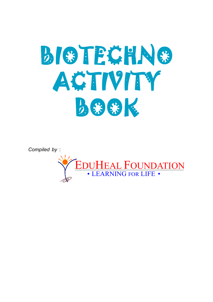

*Compiled by* :

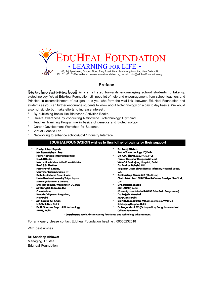

#### **Preface**

Biotechno Activities book is a small step torwards encouraging school students to take up biotechnology. We at EduHeal Foundation still need lot of help and encouragement from school teachers and Principal in accomplishment of our goal. It is you who form the vital link between EduHeal Foundation and students as you can further encourage students to know about biotechnology on a day to day basics. We would also not sit idle but make efforts to increase interest :

- By publishing books like Biotechno Activities Books.
- Create awareness by conducting Nationwide Biotechnology Olympiad.
- Teacher Tranining Programme in basics of genetics and Biotechnology.
- Career Development Workshop for Students.
- Virtual Genetic Lab.
- Networking to enhance school/Govt./ Industry Interface.

#### **EDUHEAL FOUNDATION wishes to thank the following for their support**

**EduSys Subject Experts \* Mr. Ram Mohan Rao Former Principal Information officer,**

**Govt, Of India Information Advisor to the Prime Minister**

**\* Prof. S.S. Mathur Former Prof. & Head, Centre for Energy Studies, IIT Delhi, Institutional Co-ordinator, United Nations Unversity, Tokyo, Japan Minister, Education & Culture, Embassy of India, Washington DC, USA**

- **Ranglal Jamuda, IAS Commissioner Kendriya Vidyalaya Sangathan,**
- **New Delhi \* Mr. Pervez Ali Khan**
- **NISCAIR, New Delhi**

**\* Dr. K. Sharma, Dept. of Biotechnology, . Sharma AIIMS, Delhi**

- **\* Dr. Saroj Mishra Prof. of Biotechnology, IIT, Delhi**
- **\* Dr. A.N. Sinha, MS, FAIS, FICS . Sinha Former Consultant Surgeon & Head, VMMC & Safdarjung Hospital , Delhi**
- **\* Dr. Dinkar Bakshi, MD ar Bakshi, Registrar, Deptt. of Paediatrics, Infirmary Hospital, Leeds, U.K.**
- **Dr. Sandeep Dham, MD (Medicine) Clinical Astt. Prof., SUNY Health Centre, Broklyn, New York, USA**
- **\* Dr Saurabh Shukla MD, (AIIMS) Delhi**
- **(Presently associated with WHO Pulse Polio Programme) \* Dr. Rajesh Kaushal**
- **MD (AIIMS) Delhi**
- **\* Dr. N.K. Mendiratta. MD, Anaesthesia, VMMC & . Mendiratta**
- **Safdarjung Hospital, Delhi**
- **\* Dr. Nagendra P. MS (Orthopedics), Bangalore Medical . College, Bangalore**

**\* Coordinator, South African Agency for science and technology advancement. Coordinator**

For any query please contact Eduheal Foundation helpline : 09350232518

With best wishes

#### **Dr. Sandeep Ahlawat** Managing Trustee Eduheal Foundation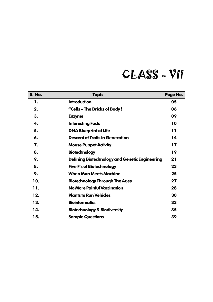# CLASS - VII

| <b>S. No.</b> | <b>Topic</b>                                   | Page No. |
|---------------|------------------------------------------------|----------|
| 1.            | <b>Introduction</b>                            | 05       |
| 2.            | "Cells-The Bricks of Body!                     | 06       |
| 3.            | <b>Enzyme</b>                                  | 09       |
| 4.            | <b>Interesting Facts</b>                       | 10       |
| 5.            | <b>DNA Blueprint of Life</b>                   | 11       |
| 6.            | <b>Descent of Traits in Generation</b>         | 14       |
| 7.            | <b>Mouse Puppet Activity</b>                   | 17       |
| 8.            | <b>Biotechnology</b>                           | 19       |
| 9.            | Defining Biotechnology and Genetic Engineering | 21       |
| 8.            | <b>Five F's of Biotechnology</b>               | 23       |
| 9.            | <b>When Man Meets Machine</b>                  | 25       |
| 10.           | <b>Biotechnology Through The Ages</b>          | 27       |
| 11.           | No More Painful Vaccination                    | 28       |
| 12.           | <b>Plants to Run Vehicles</b>                  | 30       |
| 13.           | <b>Bioinformatics</b>                          | 33       |
| 14.           | <b>Biotechnology &amp; Biodiversity</b>        | 35       |
| 15.           | <b>Sample Questions</b>                        | 39       |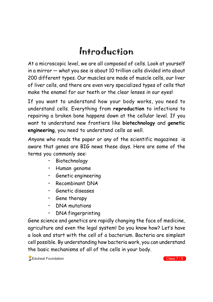## Introduction

At a microscopic level, we are all composed of cells. Look at yourself in a mirror — what you see is about 10 trillion cells divided into about 200 different types. Our muscles are made of muscle cells, our liver of liver cells, and there are even very specialized types of cells that make the enamel for our teeth or the clear lenses in our eyes!

If you want to understand how your body works, you need to understand cells. Everything from **reproduction** to infections to repairing a broken bone happens down at the cellular level. If you want to understand new frontiers like **biotechnology** and **genetic engineering**, you need to understand cells as well.

Anyone who reads the paper or any of the scientific magazines is aware that genes are BIG news these days. Here are some of the terms you commonly see:

- Biotechnology
- Human genome
- Genetic engineering
- Recombinant DNA
- Genetic diseases
- Gene therapy
- DNA mutations
- DNA fingerprinting

Gene science and genetics are rapidly changing the face of medicine, agriculture and even the legal system! Do you know how? Let's have a look and start with the cell of a bacterium. Bacteria are simplest cell possible. By understanding how bacteria work, you can understand the basic mechanisms of all of the cells in your body.

 $\sqrt{\frac{1}{2}}$ Eduheal Foundation Class 7 / 5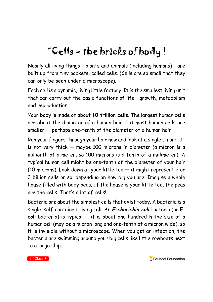# "Cells – the bricks of body !

Nearly all living things - plants and animals (including humans) - are built up from tiny pockets, called cells. (Cells are so small that they can only be seen under a microscope).

Each cell is a dynamic, living little factory. It is the smallest living unit that can carry out the basic functions of life : growth, metabolism and reproduction.

Your body is made of about **10 trillion cells**. The largest human cells are about the diameter of a human hair, but most human cells are smaller — perhaps one-tenth of the diameter of a human hair.

Run your fingers through your hair now and look at a single strand. It is not very thick — maybe 100 microns in diameter (a micron is a millionth of a meter, so 100 microns is a tenth of a millimeter). A typical human cell might be one-tenth of the diameter of your hair (10 microns). Look down at your little toe — it might represent 2 or 3 billion cells or so, depending on how big you are. Imagine a whole house filled with baby peas. If the house is your little toe, the peas are the cells. That's a lot of cells!

Bacteria are about the simplest cells that exist today. A bacteria is a single, self-contained, living cell. An **Escherichia coli** bacteria (or **E. coli** bacteria) is typical — it is about one-hundredth the size of a human cell (may be a micron long and one-tenth of a micron wide), so it is invisible without a microscope. When you get an infection, the bacteria are swimming around your big cells like little rowboats next to a large ship.

6 / Class 7 **Class 7 Class 7 Eduheal Foundation**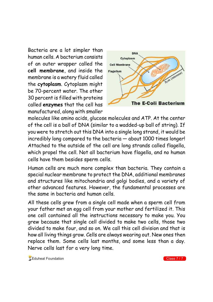Bacteria are a lot simpler than human cells. A bacterium consists of an outer wrapper called the **cell membrane**, and inside the membrane is a watery fluid called the **cytoplasm**. Cytoplasm might be 70-percent water. The other 30 percent is filled with proteins called **enzymes** that the cell has manufactured, along with smaller



molecules like amino acids, glucose molecules and ATP. At the center of the cell is a ball of DNA (similar to a wadded-up ball of string). If you were to stretch out this DNA into a single long strand, it would be incredibly long compared to the bacteria — about 1000 times longer! Attached to the outside of the cell are long strands called flagella, which propel the cell. Not all bacterium have flagella, and no human cells have them besides sperm cells.

Human cells are much more complex than bacteria. They contain a special nuclear membrane to protect the DNA, additional membranes and structures like mitochondria and golgi bodies, and a variety of other advanced features. However, the fundamental processes are the same in bacteria and human cells.

All these cells grew from a single cell made when a sperm cell from your father met an egg cell from your mother and fertilized it. This one cell contained all the instructions necessary to make you. You grew because that single cell divided to make two cells, those two divided to make four, and so on. We call this cell division and that is how all living things grow. Cells are always wearing out. New ones then replace them. Some cells last months, and some less than a day. Nerve cells last for a very long time.

 $\sqrt{\frac{1}{2}}$ Eduheal Foundation Class 7 / 7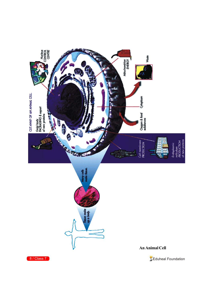

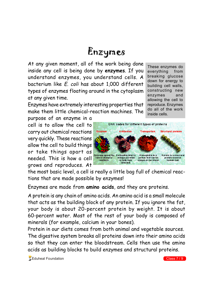## Enzymes

At any given moment, all of the work being done inside any cell is being done by **enzymes**. If you understand enzymes, you understand cells. A bacterium like E. coli has about 1,000 different types of enzymes floating around in the cytoplasm at any given time.

Enzymes have extremely interesting properties that make them little chemical-reaction machines. The

purpose of an enzyme in a cell is to allow the cell to carry out chemical reactions very quickly. These reactions allow the cell to build things or take things apart as needed. This is how a cell grows and reproduces. At

These enzymes do everything from breaking glucose down for energy to building cell walls, constructing new enzymes and allowing the cell to reproduce. Enzymes do all of the work inside cells.



the most basic level, a cell is really a little bag full of chemical reactions that are made possible by enzymes!

Enzymes are made from **amino acids**, and they are proteins.

A protein is any chain of amino acids. An amino acid is a small molecule that acts as the building block of any protein. If you ignore the fat, your body is about 20-percent protein by weight. It is about 60-percent water. Most of the rest of your body is composed of minerals (for example, calcium in your bones).

Protein in our diets comes from both animal and vegetable sources. The digestive system breaks all proteins down into their amino acids so that they can enter the bloodstream. Cells then use the amino acids as building blocks to build enzymes and structural proteins.

**Eduheal Foundation** Class 7 / 9